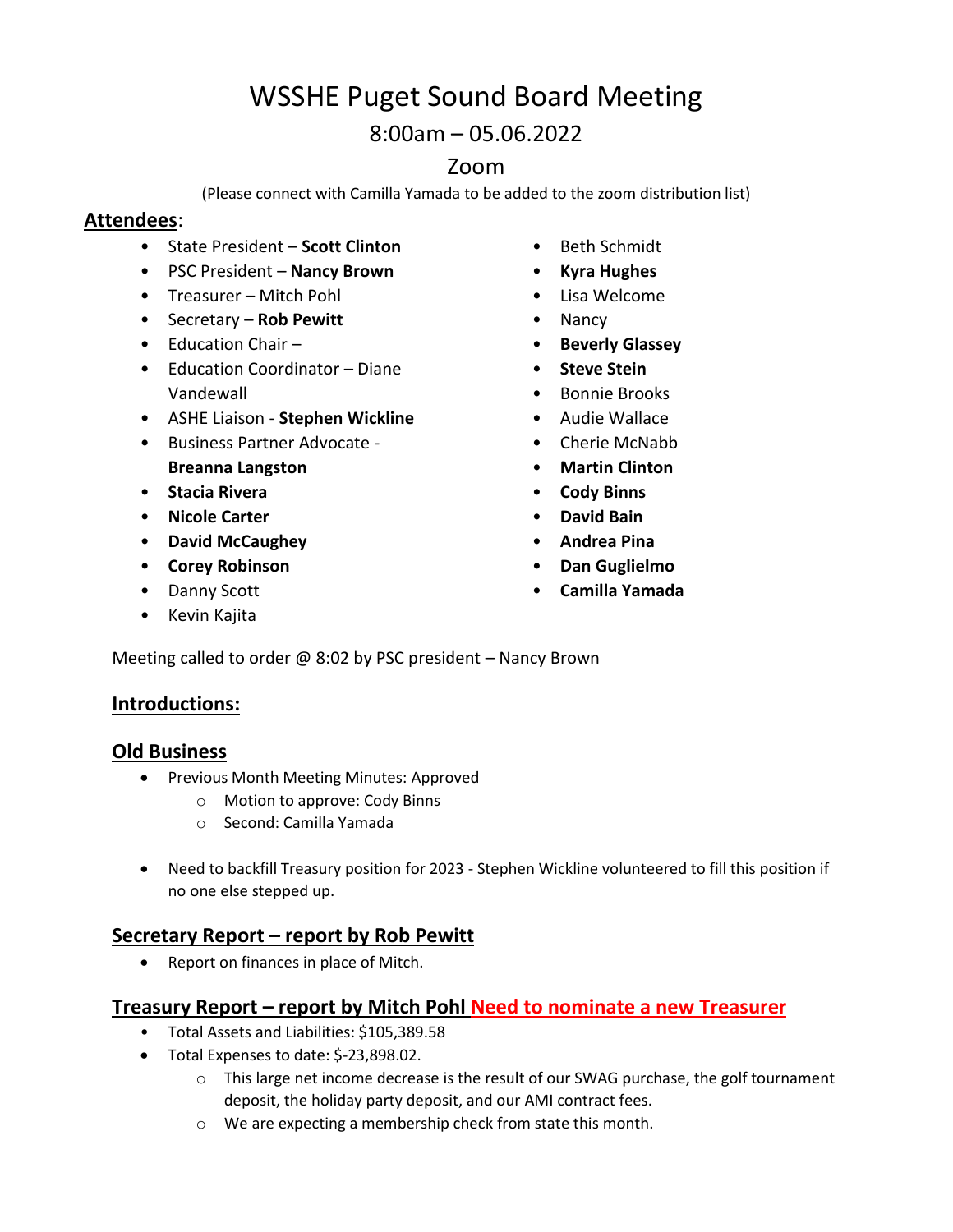# WSSHE Puget Sound Board Meeting

8:00am – 05.06.2022

# Zoom

(Please connect with Camilla Yamada to be added to the zoom distribution list)

#### **Attendees**:

- State President **Scott Clinton**
- PSC President **Nancy Brown**
- Treasurer Mitch Pohl
- Secretary **Rob Pewitt**
- Education Chair –
- Education Coordinator Diane Vandewall
- ASHE Liaison **Stephen Wickline**
- Business Partner Advocate **Breanna Langston**
- **Stacia Rivera**
- **Nicole Carter**
- **David McCaughey**
- **Corey Robinson**
- Danny Scott
- Kevin Kajita
- Beth Schmidt
- **Kyra Hughes**
- Lisa Welcome
- Nancy
- **Beverly Glassey**
- **Steve Stein**
- Bonnie Brooks
- Audie Wallace
- Cherie McNabb
- **Martin Clinton**
- **Cody Binns**
- **David Bain**
- **Andrea Pina**
- **Dan Guglielmo**
- **Camilla Yamada**

Meeting called to order  $@$  8:02 by PSC president – Nancy Brown

## **Introductions:**

#### **Old Business**

- **•** Previous Month Meeting Minutes: Approved
	- o Motion to approve: Cody Binns
	- o Second: Camilla Yamada
- Need to backfill Treasury position for 2023 Stephen Wickline volunteered to fill this position if no one else stepped up.

## **Secretary Report – report by Rob Pewitt**

• Report on finances in place of Mitch.

#### **Treasury Report – report by Mitch Pohl Need to nominate a new Treasurer**

- Total Assets and Liabilities: \$105,389.58
- Total Expenses to date: \$-23,898.02.
	- o This large net income decrease is the result of our SWAG purchase, the golf tournament deposit, the holiday party deposit, and our AMI contract fees.
	- o We are expecting a membership check from state this month.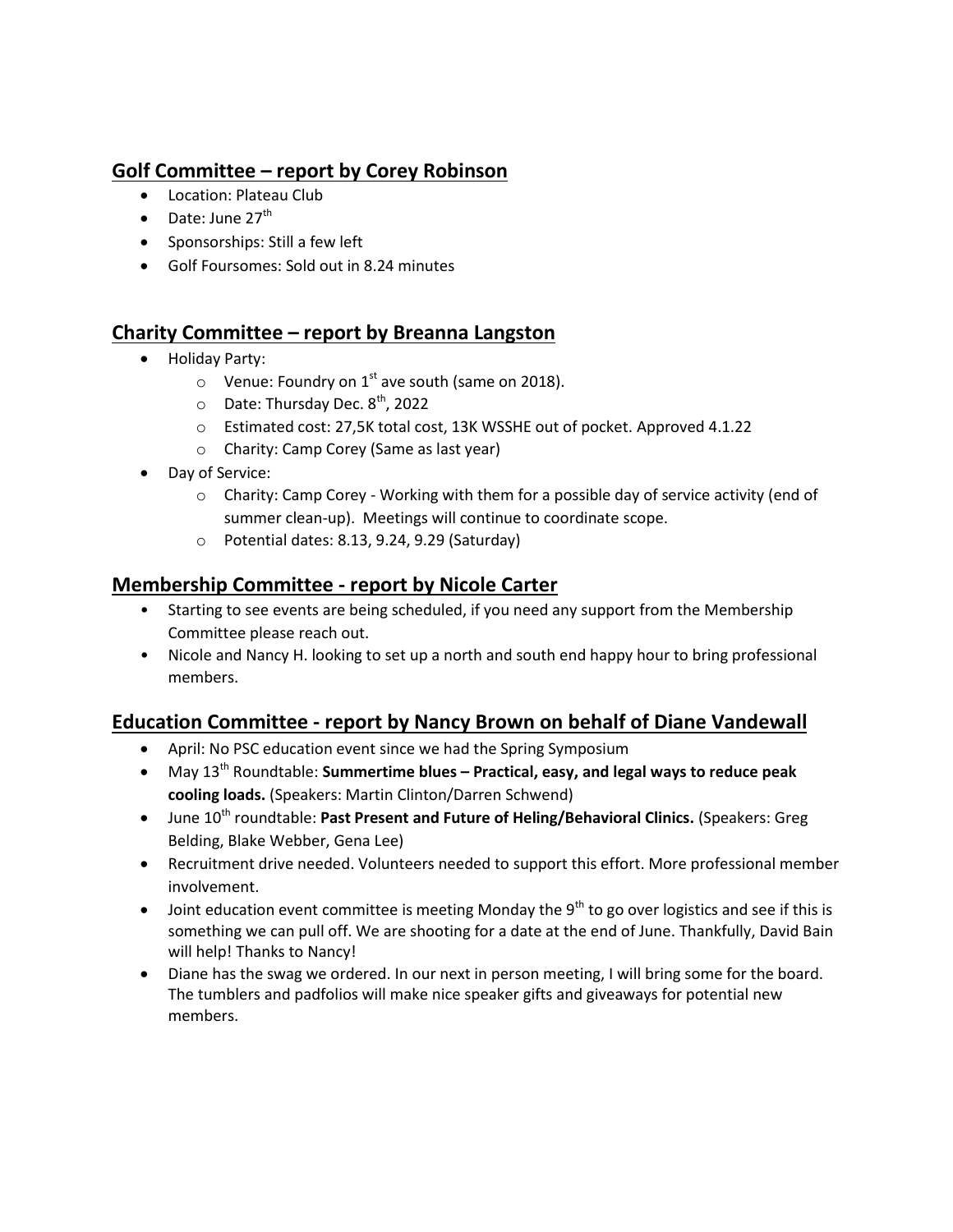# **Golf Committee – report by Corey Robinson**

- Location: Plateau Club
- $\bullet$  Date: June 27<sup>th</sup>
- Sponsorships: Still a few left
- Golf Foursomes: Sold out in 8.24 minutes

# **Charity Committee – report by Breanna Langston**

- Holiday Party:
	- $\circ$  Venue: Foundry on 1<sup>st</sup> ave south (same on 2018).
	- $\circ$  Date: Thursday Dec.  $8^{th}$ , 2022
	- o Estimated cost: 27,5K total cost, 13K WSSHE out of pocket. Approved 4.1.22
	- o Charity: Camp Corey (Same as last year)
- Day of Service:
	- $\circ$  Charity: Camp Corey Working with them for a possible day of service activity (end of summer clean-up). Meetings will continue to coordinate scope.
	- o Potential dates: 8.13, 9.24, 9.29 (Saturday)

# **Membership Committee - report by Nicole Carter**

- Starting to see events are being scheduled, if you need any support from the Membership Committee please reach out.
- Nicole and Nancy H. looking to set up a north and south end happy hour to bring professional members.

# **Education Committee - report by Nancy Brown on behalf of Diane Vandewall**

- April: No PSC education event since we had the Spring Symposium
- May 13th Roundtable: **Summertime blues – Practical, easy, and legal ways to reduce peak cooling loads.** (Speakers: Martin Clinton/Darren Schwend)
- **•** June 10<sup>th</sup> roundtable: Past Present and Future of Heling/Behavioral Clinics. (Speakers: Greg Belding, Blake Webber, Gena Lee)
- Recruitment drive needed. Volunteers needed to support this effort. More professional member involvement.
- $\bullet$  Joint education event committee is meeting Monday the 9<sup>th</sup> to go over logistics and see if this is something we can pull off. We are shooting for a date at the end of June. Thankfully, David Bain will help! Thanks to Nancy!
- Diane has the swag we ordered. In our next in person meeting, I will bring some for the board. The tumblers and padfolios will make nice speaker gifts and giveaways for potential new members.